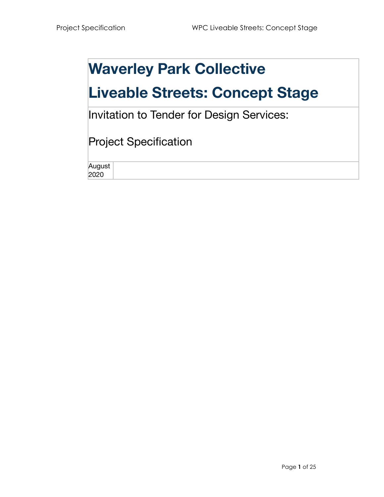## **Waverley Park Collective**

## **Liveable Streets: Concept Stage**

Invitation to Tender for Design Services:

### Project Specification

August 2020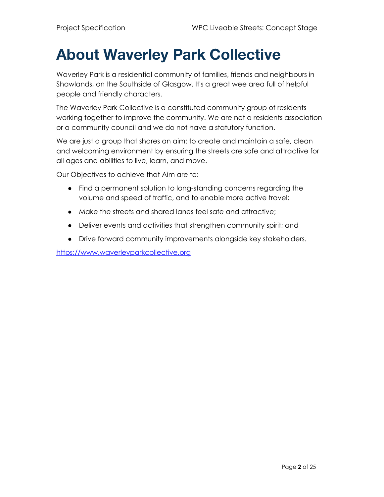## **About Waverley Park Collective**

Waverley Park is a residential community of families, friends and neighbours in Shawlands, on the Southside of Glasgow. It's a great wee area full of helpful people and friendly characters.

The Waverley Park Collective is a constituted community group of residents working together to improve the community. We are not a residents association or a community council and we do not have a statutory function.

We are just a group that shares an aim: to create and maintain a safe, clean and welcoming environment by ensuring the streets are safe and attractive for all ages and abilities to live, learn, and move.

Our Objectives to achieve that Aim are to:

- Find a permanent solution to long-standing concerns regarding the volume and speed of traffic, and to enable more active travel;
- Make the streets and shared lanes feel safe and attractive;
- Deliver events and activities that strengthen community spirit; and
- Drive forward community improvements alongside key stakeholders.

<https://www.waverleyparkcollective.org>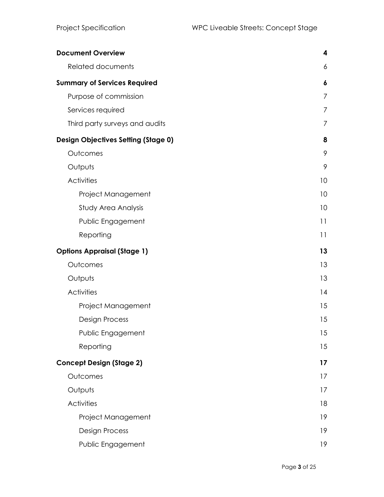| <b>Document Overview</b>                   | $\overline{\mathbf{4}}$ |
|--------------------------------------------|-------------------------|
| <b>Related documents</b>                   | 6                       |
| <b>Summary of Services Required</b>        | 6                       |
| Purpose of commission                      | $\overline{7}$          |
| Services required                          | 7                       |
| Third party surveys and audits             | $\overline{7}$          |
| <b>Design Objectives Setting (Stage 0)</b> | 8                       |
| Outcomes                                   | 9                       |
| Outputs                                    | 9                       |
| <b>Activities</b>                          | 10                      |
| Project Management                         | 10                      |
| Study Area Analysis                        | 10                      |
| Public Engagement                          | 11                      |
| Reporting                                  | 11                      |
| <b>Options Appraisal (Stage 1)</b>         | 13                      |
| Outcomes                                   | 13                      |
| Outputs                                    | 13                      |
| <b>Activities</b>                          | 14                      |
| Project Management                         | 15                      |
| <b>Design Process</b>                      | 15                      |
| Public Engagement                          | 15                      |
| Reporting                                  | 15                      |
| <b>Concept Design (Stage 2)</b>            | 17                      |
| Outcomes                                   | 17                      |
| Outputs                                    | 17                      |
| <b>Activities</b>                          | 18                      |
| Project Management                         | 19                      |
| <b>Design Process</b>                      | 19                      |
| Public Engagement                          | 19                      |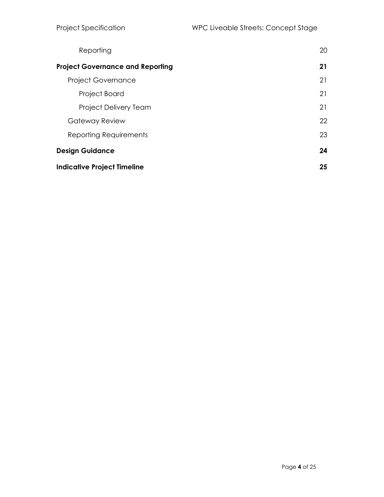| Reporting                               | 20 |
|-----------------------------------------|----|
| <b>Project Governance and Reporting</b> | 21 |
| <b>Project Governance</b>               | 21 |
| Project Board                           | 21 |
| Project Delivery Team                   | 21 |
| Gateway Review                          | 22 |
| Reporting Requirements                  | 23 |
| <b>Design Guidance</b>                  | 24 |
| <b>Indicative Project Timeline</b>      | 25 |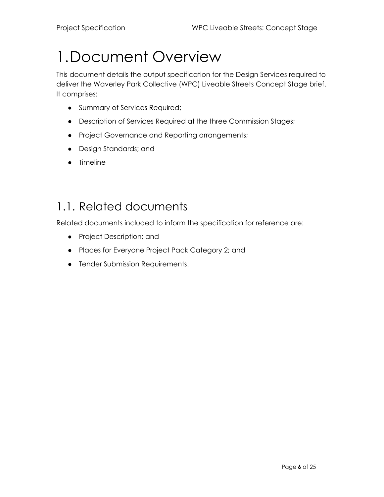## <span id="page-5-0"></span>1.Document Overview

This document details the output specification for the Design Services required to deliver the Waverley Park Collective (WPC) Liveable Streets Concept Stage brief. It comprises:

- Summary of Services Required;
- Description of Services Required at the three Commission Stages;
- Project Governance and Reporting arrangements;
- Design Standards; and
- Timeline

### <span id="page-5-1"></span>1.1. Related documents

Related documents included to inform the specification for reference are:

- Project Description; and
- Places for Everyone Project Pack Category 2; and
- Tender Submission Requirements.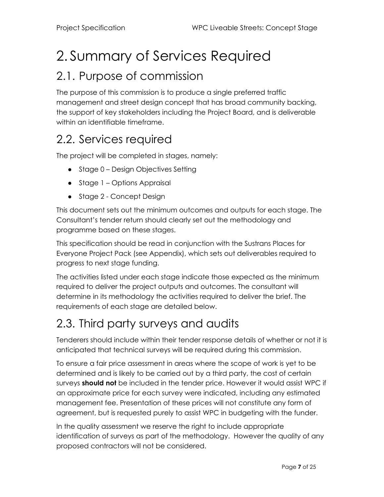# <span id="page-6-0"></span>2. Summary of Services Required

### <span id="page-6-1"></span>2.1. Purpose of commission

The purpose of this commission is to produce a single preferred traffic management and street design concept that has broad community backing, the support of key stakeholders including the Project Board, and is deliverable within an identifiable timeframe.

### <span id="page-6-2"></span>2.2. Services required

The project will be completed in stages, namely:

- Stage 0 Design Objectives Setting
- Stage 1 Options Appraisal
- Stage 2 Concept Design

This document sets out the minimum outcomes and outputs for each stage. The Consultant's tender return should clearly set out the methodology and programme based on these stages.

This specification should be read in conjunction with the Sustrans Places for Everyone Project Pack (see Appendix), which sets out deliverables required to progress to next stage funding.

The activities listed under each stage indicate those expected as the minimum required to deliver the project outputs and outcomes. The consultant will determine in its methodology the activities required to deliver the brief. The requirements of each stage are detailed below.

### <span id="page-6-3"></span>2.3. Third party surveys and audits

Tenderers should include within their tender response details of whether or not it is anticipated that technical surveys will be required during this commission.

To ensure a fair price assessment in areas where the scope of work is yet to be determined and is likely to be carried out by a third party, the cost of certain surveys **should not** be included in the tender price. However it would assist WPC if an approximate price for each survey were indicated, including any estimated management fee. Presentation of these prices will not constitute any form of agreement, but is requested purely to assist WPC in budgeting with the funder.

In the quality assessment we reserve the right to include appropriate identification of surveys as part of the methodology. However the quality of any proposed contractors will not be considered.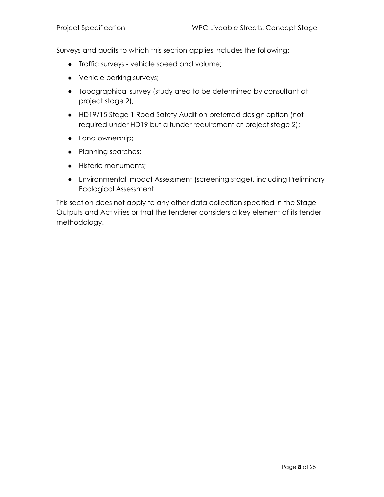Surveys and audits to which this section applies includes the following:

- Traffic surveys vehicle speed and volume;
- Vehicle parking surveys;
- Topographical survey (study area to be determined by consultant at project stage 2);
- HD19/15 Stage 1 Road Safety Audit on preferred design option (not required under HD19 but a funder requirement at project stage 2);
- Land ownership;
- Planning searches;
- Historic monuments;
- Environmental Impact Assessment (screening stage), including Preliminary Ecological Assessment.

This section does not apply to any other data collection specified in the Stage Outputs and Activities or that the tenderer considers a key element of its tender methodology.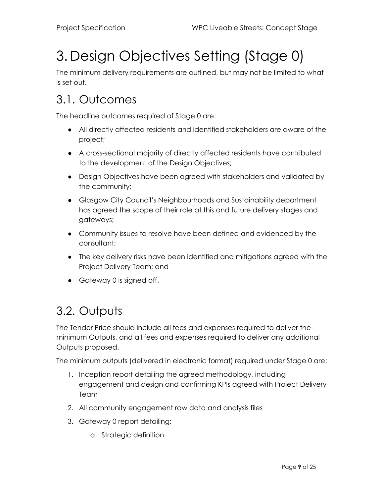# <span id="page-8-0"></span>3. Design Objectives Setting (Stage 0)

The minimum delivery requirements are outlined, but may not be limited to what is set out.

### <span id="page-8-1"></span>3.1. Outcomes

The headline outcomes required of Stage 0 are:

- All directly affected residents and identified stakeholders are aware of the project;
- A cross-sectional majority of directly affected residents have contributed to the development of the Design Objectives;
- Design Objectives have been agreed with stakeholders and validated by the community;
- Glasgow City Council's Neighbourhoods and Sustainability department has agreed the scope of their role at this and future delivery stages and gateways;
- Community issues to resolve have been defined and evidenced by the consultant;
- The key delivery risks have been identified and mitigations agreed with the Project Delivery Team; and
- Gateway 0 is signed off.

### <span id="page-8-2"></span>3.2. Outputs

The Tender Price should include all fees and expenses required to deliver the minimum Outputs, and all fees and expenses required to deliver any additional Outputs proposed.

The minimum outputs (delivered in electronic format) required under Stage 0 are:

- 1. Inception report detailing the agreed methodology, including engagement and design and confirming KPIs agreed with Project Delivery Team
- 2. All community engagement raw data and analysis files
- 3. Gateway 0 report detailing:
	- a. Strategic definition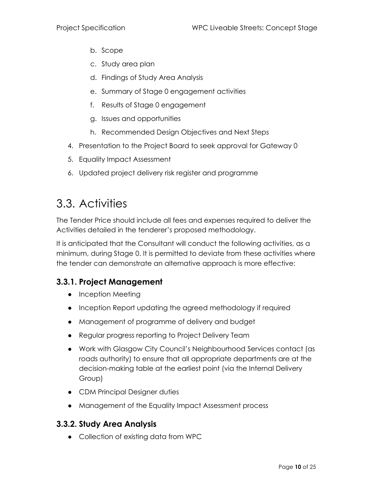- b. Scope
- c. Study area plan
- d. Findings of Study Area Analysis
- e. Summary of Stage 0 engagement activities
- f. Results of Stage 0 engagement
- g. Issues and opportunities
- h. Recommended Design Objectives and Next Steps
- 4. Presentation to the Project Board to seek approval for Gateway 0
- 5. Equality Impact Assessment
- 6. Updated project delivery risk register and programme

### <span id="page-9-0"></span>3.3. Activities

The Tender Price should include all fees and expenses required to deliver the Activities detailed in the tenderer's proposed methodology.

It is anticipated that the Consultant will conduct the following activities, as a minimum, during Stage 0. It is permitted to deviate from these activities where the tender can demonstrate an alternative approach is more effective:

#### <span id="page-9-1"></span>**3.3.1. Project Management**

- Inception Meeting
- Inception Report updating the agreed methodology if required
- Management of programme of delivery and budget
- Regular progress reporting to Project Delivery Team
- Work with Glasgow City Council's Neighbourhood Services contact (as roads authority) to ensure that all appropriate departments are at the decision-making table at the earliest point (via the Internal Delivery Group)
- CDM Principal Designer duties
- Management of the Equality Impact Assessment process

#### <span id="page-9-2"></span>**3.3.2. Study Area Analysis**

● Collection of existing data from WPC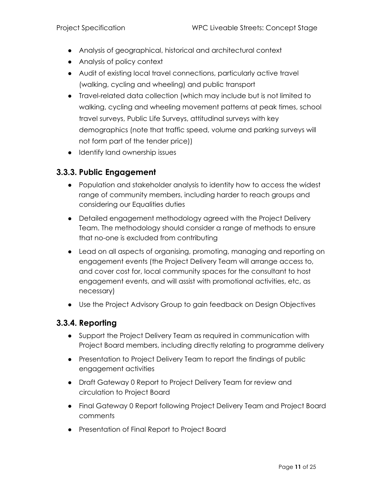- Analysis of geographical, historical and architectural context
- Analysis of policy context
- Audit of existing local travel connections, particularly active travel (walking, cycling and wheeling) and public transport
- Travel-related data collection (which may include but is not limited to walking, cycling and wheeling movement patterns at peak times, school travel surveys, Public Life Surveys, attitudinal surveys with key demographics (note that traffic speed, volume and parking surveys will not form part of the tender price))
- Identify land ownership issues

#### <span id="page-10-0"></span>**3.3.3. Public Engagement**

- Population and stakeholder analysis to identity how to access the widest range of community members, including harder to reach groups and considering our Equalities duties
- Detailed engagement methodology agreed with the Project Delivery Team. The methodology should consider a range of methods to ensure that no-one is excluded from contributing
- Lead on all aspects of organising, promoting, managing and reporting on engagement events (the Project Delivery Team will arrange access to, and cover cost for, local community spaces for the consultant to host engagement events, and will assist with promotional activities, etc, as necessary)
- Use the Project Advisory Group to gain feedback on Design Objectives

#### <span id="page-10-1"></span>**3.3.4. Reporting**

- Support the Project Delivery Team as required in communication with Project Board members, including directly relating to programme delivery
- Presentation to Project Delivery Team to report the findings of public engagement activities
- Draft Gateway 0 Report to Project Delivery Team for review and circulation to Project Board
- Final Gateway 0 Report following Project Delivery Team and Project Board comments
- Presentation of Final Report to Project Board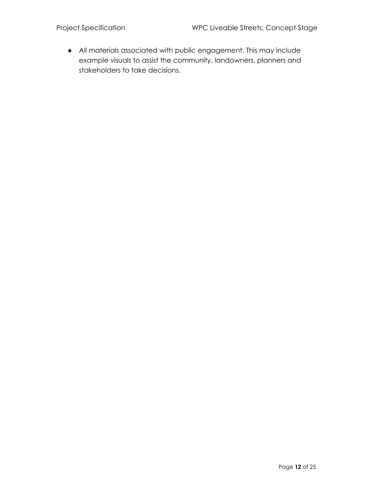● All materials associated with public engagement. This may include example visuals to assist the community, landowners, planners and stakeholders to take decisions.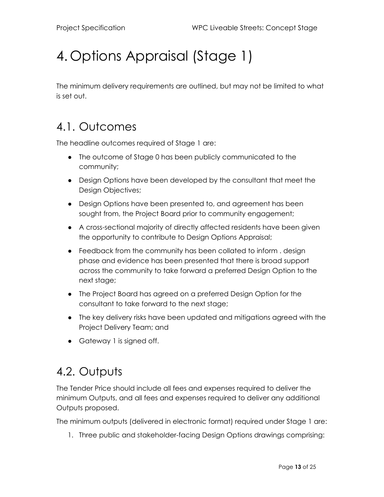## <span id="page-12-0"></span>4. Options Appraisal (Stage 1)

The minimum delivery requirements are outlined, but may not be limited to what is set out.

### <span id="page-12-1"></span>4.1. Outcomes

The headline outcomes required of Stage 1 are:

- The outcome of Stage 0 has been publicly communicated to the community;
- Design Options have been developed by the consultant that meet the Design Objectives;
- Design Options have been presented to, and agreement has been sought from, the Project Board prior to community engagement;
- A cross-sectional majority of directly affected residents have been given the opportunity to contribute to Design Options Appraisal;
- Feedback from the community has been collated to inform . design phase and evidence has been presented that there is broad support across the community to take forward a preferred Design Option to the next stage;
- The Project Board has agreed on a preferred Design Option for the consultant to take forward to the next stage;
- The key delivery risks have been updated and mitigations agreed with the Project Delivery Team; and
- Gateway 1 is signed off.

### <span id="page-12-2"></span>4.2. Outputs

The Tender Price should include all fees and expenses required to deliver the minimum Outputs, and all fees and expenses required to deliver any additional Outputs proposed.

The minimum outputs (delivered in electronic format) required under Stage 1 are:

1. Three public and stakeholder-facing Design Options drawings comprising: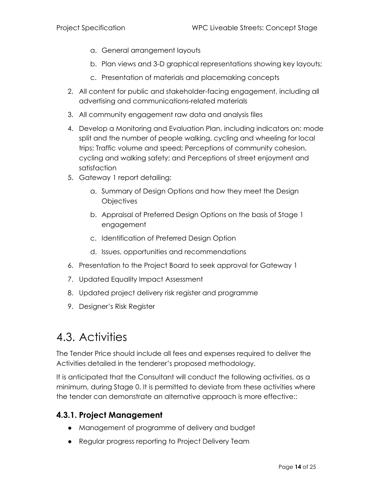- a. General arrangement layouts
- b. Plan views and 3-D graphical representations showing key layouts;
- c. Presentation of materials and placemaking concepts
- 2. All content for public and stakeholder-facing engagement, including all advertising and communications-related materials
- 3. All community engagement raw data and analysis files
- 4. Develop a Monitoring and Evaluation Plan, including indicators on: mode split and the number of people walking, cycling and wheeling for local trips; Traffic volume and speed; Perceptions of community cohesion, cycling and walking safety; and Perceptions of street enjoyment and satisfaction
- 5. Gateway 1 report detailing:
	- a. Summary of Design Options and how they meet the Design **Objectives**
	- b. Appraisal of Preferred Design Options on the basis of Stage 1 engagement
	- c. Identification of Preferred Design Option
	- d. Issues, opportunities and recommendations
- 6. Presentation to the Project Board to seek approval for Gateway 1
- 7. Updated Equality Impact Assessment
- 8. Updated project delivery risk register and programme
- 9. Designer's Risk Register

### <span id="page-13-0"></span>4.3. Activities

The Tender Price should include all fees and expenses required to deliver the Activities detailed in the tenderer's proposed methodology.

It is anticipated that the Consultant will conduct the following activities, as a minimum, during Stage 0. It is permitted to deviate from these activities where the tender can demonstrate an alternative approach is more effective::

#### <span id="page-13-1"></span>**4.3.1. Project Management**

- Management of programme of delivery and budget
- Regular progress reporting to Project Delivery Team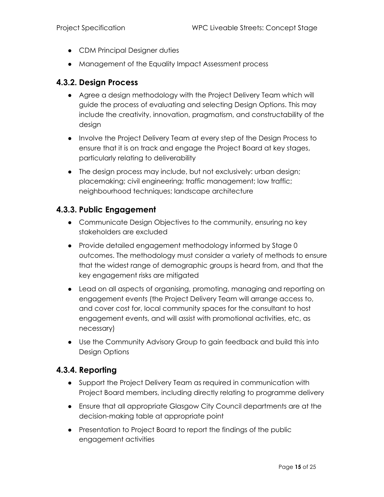- CDM Principal Designer duties
- Management of the Equality Impact Assessment process

#### <span id="page-14-0"></span>**4.3.2. Design Process**

- Agree a design methodology with the Project Delivery Team which will guide the process of evaluating and selecting Design Options. This may include the creativity, innovation, pragmatism, and constructability of the design
- Involve the Project Delivery Team at every step of the Design Process to ensure that it is on track and engage the Project Board at key stages, particularly relating to deliverability
- The design process may include, but not exclusively: urban design; placemaking; civil engineering; traffic management; low traffic; neighbourhood techniques; landscape architecture

#### <span id="page-14-1"></span>**4.3.3. Public Engagement**

- Communicate Design Objectives to the community, ensuring no key stakeholders are excluded
- Provide detailed engagement methodology informed by Stage 0 outcomes. The methodology must consider a variety of methods to ensure that the widest range of demographic groups is heard from, and that the key engagement risks are mitigated
- Lead on all aspects of organising, promoting, managing and reporting on engagement events (the Project Delivery Team will arrange access to, and cover cost for, local community spaces for the consultant to host engagement events, and will assist with promotional activities, etc, as necessary)
- Use the Community Advisory Group to gain feedback and build this into Design Options

#### <span id="page-14-2"></span>**4.3.4. Reporting**

- Support the Project Delivery Team as required in communication with Project Board members, including directly relating to programme delivery
- Ensure that all appropriate Glasgow City Council departments are at the decision-making table at appropriate point
- Presentation to Project Board to report the findings of the public engagement activities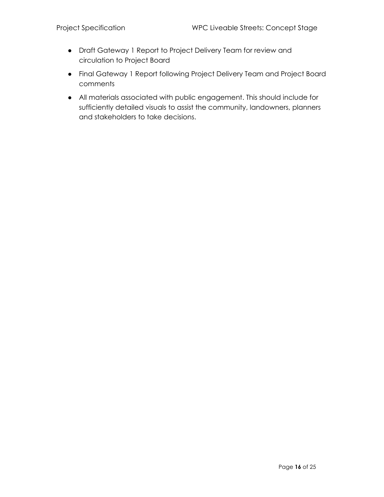- Draft Gateway 1 Report to Project Delivery Team for review and circulation to Project Board
- Final Gateway 1 Report following Project Delivery Team and Project Board comments
- All materials associated with public engagement. This should include for sufficiently detailed visuals to assist the community, landowners, planners and stakeholders to take decisions.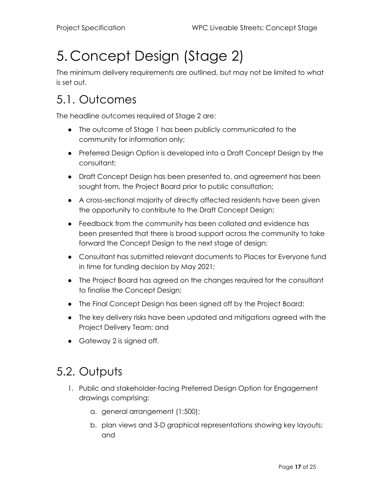# <span id="page-16-0"></span>5. Concept Design (Stage 2)

The minimum delivery requirements are outlined, but may not be limited to what is set out.

### <span id="page-16-1"></span>5.1. Outcomes

The headline outcomes required of Stage 2 are:

- The outcome of Stage 1 has been publicly communicated to the community for information only;
- Preferred Design Option is developed into a Draft Concept Design by the consultant;
- Draft Concept Design has been presented to, and agreement has been sought from, the Project Board prior to public consultation;
- A cross-sectional majority of directly affected residents have been given the opportunity to contribute to the Draft Concept Design;
- Feedback from the community has been collated and evidence has been presented that there is broad support across the community to take forward the Concept Design to the next stage of design;
- Consultant has submitted relevant documents to Places for Everyone fund in time for funding decision by May 2021;
- The Project Board has agreed on the changes required for the consultant to finalise the Concept Design;
- The Final Concept Design has been signed off by the Project Board;
- The key delivery risks have been updated and mitigations agreed with the Project Delivery Team; and
- Gateway 2 is signed off.

### <span id="page-16-2"></span>5.2. Outputs

- 1. Public and stakeholder-facing Preferred Design Option for Engagement drawings comprising:
	- a. general arrangement (1:500);
	- b. plan views and 3-D graphical representations showing key layouts; and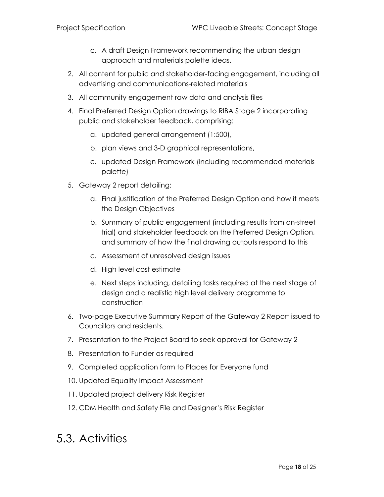- c. A draft Design Framework recommending the urban design approach and materials palette ideas.
- 2. All content for public and stakeholder-facing engagement, including all advertising and communications-related materials
- 3. All community engagement raw data and analysis files
- 4. Final Preferred Design Option drawings to RIBA Stage 2 incorporating public and stakeholder feedback, comprising:
	- a. updated general arrangement (1:500),
	- b. plan views and 3-D graphical representations,
	- c. updated Design Framework (including recommended materials palette)
- 5. Gateway 2 report detailing:
	- a. Final justification of the Preferred Design Option and how it meets the Design Objectives
	- b. Summary of public engagement (including results from on-street trial) and stakeholder feedback on the Preferred Design Option, and summary of how the final drawing outputs respond to this
	- c. Assessment of unresolved design issues
	- d. High level cost estimate
	- e. Next steps including, detailing tasks required at the next stage of design and a realistic high level delivery programme to construction
- 6. Two-page Executive Summary Report of the Gateway 2 Report issued to Councillors and residents.
- 7. Presentation to the Project Board to seek approval for Gateway 2
- 8. Presentation to Funder as required
- 9. Completed application form to Places for Everyone fund
- 10. Updated Equality Impact Assessment
- 11. Updated project delivery Risk Register
- 12. CDM Health and Safety File and Designer's Risk Register

### <span id="page-17-0"></span>5.3. Activities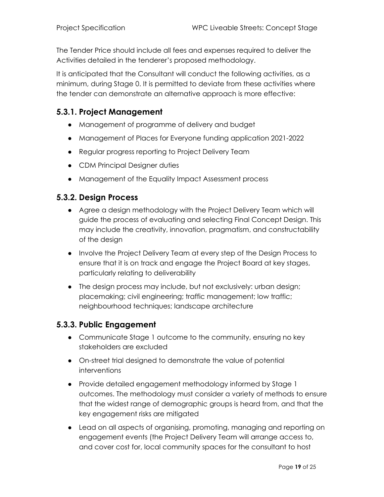The Tender Price should include all fees and expenses required to deliver the Activities detailed in the tenderer's proposed methodology.

It is anticipated that the Consultant will conduct the following activities, as a minimum, during Stage 0. It is permitted to deviate from these activities where the tender can demonstrate an alternative approach is more effective:

#### <span id="page-18-0"></span>**5.3.1. Project Management**

- Management of programme of delivery and budget
- Management of Places for Everyone funding application 2021-2022
- Regular progress reporting to Project Delivery Team
- CDM Principal Designer duties
- Management of the Equality Impact Assessment process

#### <span id="page-18-1"></span>**5.3.2. Design Process**

- Agree a design methodology with the Project Delivery Team which will guide the process of evaluating and selecting Final Concept Design. This may include the creativity, innovation, pragmatism, and constructability of the design
- Involve the Project Delivery Team at every step of the Design Process to ensure that it is on track and engage the Project Board at key stages, particularly relating to deliverability
- The design process may include, but not exclusively: urban design; placemaking; civil engineering; traffic management; low traffic; neighbourhood techniques; landscape architecture

#### <span id="page-18-2"></span>**5.3.3. Public Engagement**

- Communicate Stage 1 outcome to the community, ensuring no key stakeholders are excluded
- On-street trial designed to demonstrate the value of potential interventions
- Provide detailed engagement methodology informed by Stage 1 outcomes. The methodology must consider a variety of methods to ensure that the widest range of demographic groups is heard from, and that the key engagement risks are mitigated
- Lead on all aspects of organising, promoting, managing and reporting on engagement events (the Project Delivery Team will arrange access to, and cover cost for, local community spaces for the consultant to host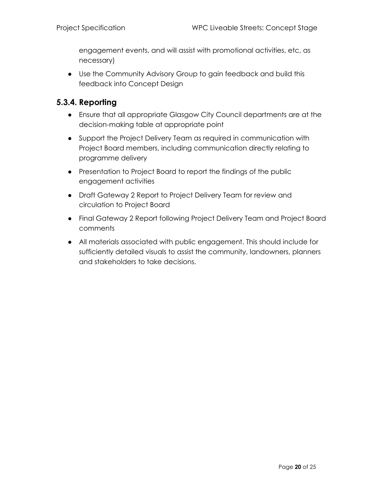engagement events, and will assist with promotional activities, etc, as necessary)

● Use the Community Advisory Group to gain feedback and build this feedback into Concept Design

#### <span id="page-19-0"></span>**5.3.4. Reporting**

- Ensure that all appropriate Glasgow City Council departments are at the decision-making table at appropriate point
- Support the Project Delivery Team as required in communication with Project Board members, including communication directly relating to programme delivery
- Presentation to Project Board to report the findings of the public engagement activities
- Draft Gateway 2 Report to Project Delivery Team for review and circulation to Project Board
- Final Gateway 2 Report following Project Delivery Team and Project Board comments
- All materials associated with public engagement. This should include for sufficiently detailed visuals to assist the community, landowners, planners and stakeholders to take decisions.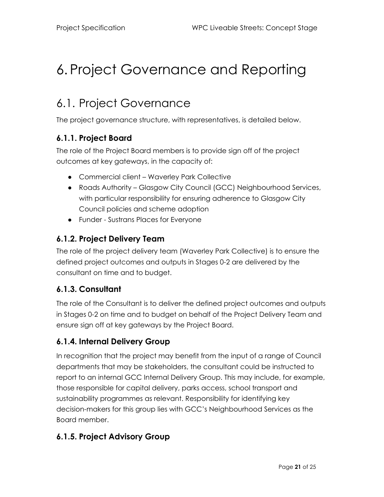# <span id="page-20-0"></span>6. Project Governance and Reporting

### <span id="page-20-1"></span>6.1. Project Governance

The project governance structure, with representatives, is detailed below.

#### <span id="page-20-2"></span>**6.1.1. Project Board**

The role of the Project Board members is to provide sign off of the project outcomes at key gateways, in the capacity of:

- Commercial client Waverley Park Collective
- Roads Authority Glasgow City Council (GCC) Neighbourhood Services, with particular responsibility for ensuring adherence to Glasgow City Council policies and scheme adoption
- Funder Sustrans Places for Everyone

#### <span id="page-20-3"></span>**6.1.2. Project Delivery Team**

The role of the project delivery team (Waverley Park Collective) is to ensure the defined project outcomes and outputs in Stages 0-2 are delivered by the consultant on time and to budget.

#### **6.1.3. Consultant**

The role of the Consultant is to deliver the defined project outcomes and outputs in Stages 0-2 on time and to budget on behalf of the Project Delivery Team and ensure sign off at key gateways by the Project Board.

#### **6.1.4. Internal Delivery Group**

In recognition that the project may benefit from the input of a range of Council departments that may be stakeholders, the consultant could be instructed to report to an internal GCC Internal Delivery Group. This may include, for example, those responsible for capital delivery, parks access, school transport and sustainability programmes as relevant. Responsibility for identifying key decision-makers for this group lies with GCC's Neighbourhood Services as the Board member.

#### **6.1.5. Project Advisory Group**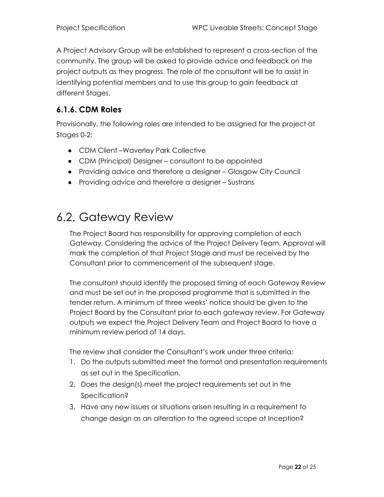A Project Advisory Group will be established to represent a cross-section of the community. The group will be asked to provide advice and feedback on the project outputs as they progress. The role of the consultant will be to assist in identifying potential members and to use this group to gain feedback at different Stages.

#### **6.1.6. CDM Roles**

Provisionally, the following roles are intended to be assigned for the project at Stages 0-2:

- CDM Client –Waverley Park Collective
- CDM (Principal) Designer consultant to be appointed
- Providing advice and therefore a designer Glasgow City Council
- Providing advice and therefore a designer Sustrans

### <span id="page-21-0"></span>6.2. Gateway Review

The Project Board has responsibility for approving completion of each Gateway, Considering the advice of the Project Delivery Team. Approval will mark the completion of that Project Stage and must be received by the Consultant prior to commencement of the subsequent stage.

The consultant should identify the proposed timing of each Gateway Review and must be set out in the proposed programme that is submitted in the tender return. A minimum of three weeks' notice should be given to the Project Board by the Consultant prior to each gateway review. For Gateway outputs we expect the Project Delivery Team and Project Board to have a minimum review period of 14 days.

The review shall consider the Consultant's work under three criteria:

- 1. Do the outputs submitted meet the format and presentation requirements as set out in the Specification.
- 2. Does the design(s) meet the project requirements set out in the Specification?
- 3. Have any new issues or situations arisen resulting in a requirement to change design as an alteration to the agreed scope at Inception?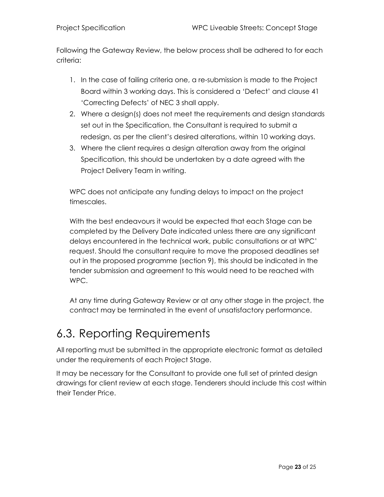Following the Gateway Review, the below process shall be adhered to for each criteria:

- 1. In the case of failing criteria one, a re-submission is made to the Project Board within 3 working days. This is considered a 'Defect' and clause 41 'Correcting Defects' of NEC 3 shall apply.
- 2. Where a design(s) does not meet the requirements and design standards set out in the Specification, the Consultant is required to submit a redesign, as per the client's desired alterations, within 10 working days.
- 3. Where the client requires a design alteration away from the original Specification, this should be undertaken by a date agreed with the Project Delivery Team in writing.

WPC does not anticipate any funding delays to impact on the project timescales.

With the best endeavours it would be expected that each Stage can be completed by the Delivery Date indicated unless there are any significant delays encountered in the technical work, public consultations or at WPC' request. Should the consultant require to move the proposed deadlines set out in the proposed programme (section 9), this should be indicated in the tender submission and agreement to this would need to be reached with WPC.

At any time during Gateway Review or at any other stage in the project, the contract may be terminated in the event of unsatisfactory performance.

### <span id="page-22-0"></span>6.3. Reporting Requirements

All reporting must be submitted in the appropriate electronic format as detailed under the requirements of each Project Stage.

It may be necessary for the Consultant to provide one full set of printed design drawings for client review at each stage. Tenderers should include this cost within their Tender Price.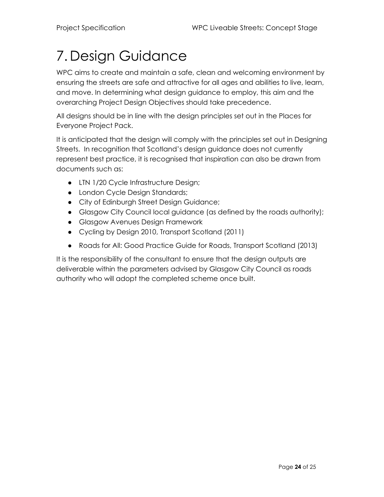## <span id="page-23-0"></span>7. Design Guidance

WPC aims to create and maintain a safe, clean and welcoming environment by ensuring the streets are safe and attractive for all ages and abilities to live, learn, and move. In determining what design guidance to employ, this aim and the overarching Project Design Objectives should take precedence.

All designs should be in line with the design principles set out in the Places for Everyone Project Pack.

It is anticipated that the design will comply with the principles set out in Designing Streets. In recognition that Scotland's design guidance does not currently represent best practice, it is recognised that inspiration can also be drawn from documents such as:

- LTN 1/20 Cycle Infrastructure Design;
- London Cycle Design Standards;
- City of Edinburgh Street Design Guidance;
- Glasgow City Council local guidance (as defined by the roads authority);
- Glasgow Avenues Design Framework
- Cycling by Design 2010, Transport Scotland (2011)
- Roads for All: Good Practice Guide for Roads, Transport Scotland (2013)

It is the responsibility of the consultant to ensure that the design outputs are deliverable within the parameters advised by Glasgow City Council as roads authority who will adopt the completed scheme once built.